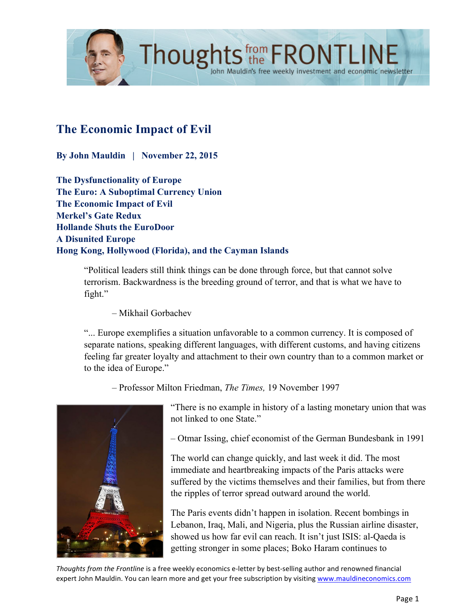

# **The Economic Impact of Evil**

**By John Mauldin | November 22, 2015**

**The Dysfunctionality of Europe The Euro: A Suboptimal Currency Union The Economic Impact of Evil Merkel's Gate Redux Hollande Shuts the EuroDoor A Disunited Europe Hong Kong, Hollywood (Florida), and the Cayman Islands**

> "Political leaders still think things can be done through force, but that cannot solve terrorism. Backwardness is the breeding ground of terror, and that is what we have to fight."

Thoughts the FRONTLINE

– Mikhail Gorbachev

"... Europe exemplifies a situation unfavorable to a common currency. It is composed of separate nations, speaking different languages, with different customs, and having citizens feeling far greater loyalty and attachment to their own country than to a common market or to the idea of Europe."

– Professor Milton Friedman, *The Times,* 19 November 1997



"There is no example in history of a lasting monetary union that was not linked to one State."

– Otmar Issing, chief economist of the German Bundesbank in 1991

The world can change quickly, and last week it did. The most immediate and heartbreaking impacts of the Paris attacks were suffered by the victims themselves and their families, but from there the ripples of terror spread outward around the world.

The Paris events didn't happen in isolation. Recent bombings in Lebanon, Iraq, Mali, and Nigeria, plus the Russian airline disaster, showed us how far evil can reach. It isn't just ISIS: al-Qaeda is getting stronger in some places; Boko Haram continues to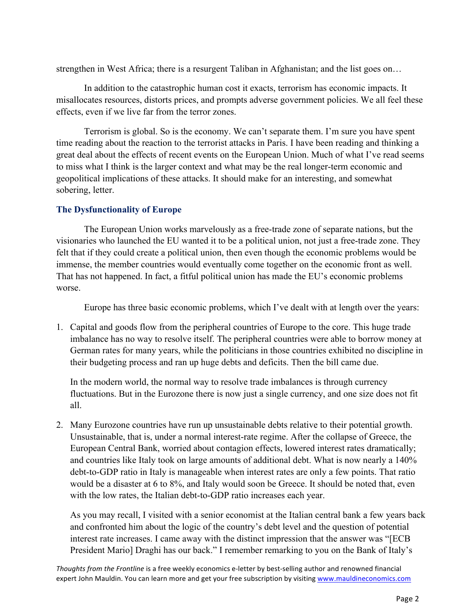strengthen in West Africa; there is a resurgent Taliban in Afghanistan; and the list goes on…

In addition to the catastrophic human cost it exacts, terrorism has economic impacts. It misallocates resources, distorts prices, and prompts adverse government policies. We all feel these effects, even if we live far from the terror zones.

Terrorism is global. So is the economy. We can't separate them. I'm sure you have spent time reading about the reaction to the terrorist attacks in Paris. I have been reading and thinking a great deal about the effects of recent events on the European Union. Much of what I've read seems to miss what I think is the larger context and what may be the real longer-term economic and geopolitical implications of these attacks. It should make for an interesting, and somewhat sobering, letter.

## **The Dysfunctionality of Europe**

The European Union works marvelously as a free-trade zone of separate nations, but the visionaries who launched the EU wanted it to be a political union, not just a free-trade zone. They felt that if they could create a political union, then even though the economic problems would be immense, the member countries would eventually come together on the economic front as well. That has not happened. In fact, a fitful political union has made the EU's economic problems worse.

Europe has three basic economic problems, which I've dealt with at length over the years:

1. Capital and goods flow from the peripheral countries of Europe to the core. This huge trade imbalance has no way to resolve itself. The peripheral countries were able to borrow money at German rates for many years, while the politicians in those countries exhibited no discipline in their budgeting process and ran up huge debts and deficits. Then the bill came due.

In the modern world, the normal way to resolve trade imbalances is through currency fluctuations. But in the Eurozone there is now just a single currency, and one size does not fit all.

2. Many Eurozone countries have run up unsustainable debts relative to their potential growth. Unsustainable, that is, under a normal interest-rate regime. After the collapse of Greece, the European Central Bank, worried about contagion effects, lowered interest rates dramatically; and countries like Italy took on large amounts of additional debt. What is now nearly a 140% debt-to-GDP ratio in Italy is manageable when interest rates are only a few points. That ratio would be a disaster at 6 to 8%, and Italy would soon be Greece. It should be noted that, even with the low rates, the Italian debt-to-GDP ratio increases each year.

As you may recall, I visited with a senior economist at the Italian central bank a few years back and confronted him about the logic of the country's debt level and the question of potential interest rate increases. I came away with the distinct impression that the answer was "[ECB President Mario] Draghi has our back." I remember remarking to you on the Bank of Italy's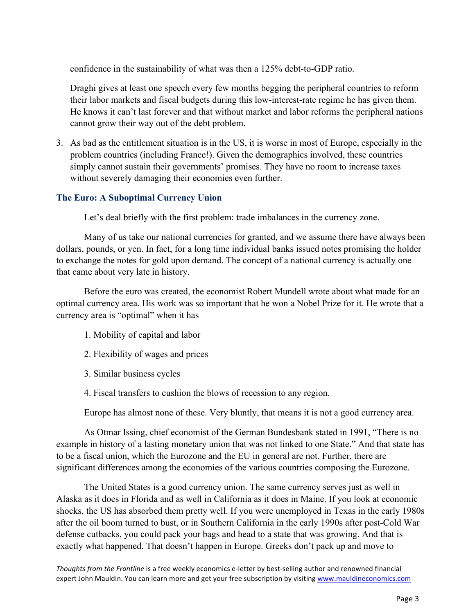confidence in the sustainability of what was then a 125% debt-to-GDP ratio.

Draghi gives at least one speech every few months begging the peripheral countries to reform their labor markets and fiscal budgets during this low-interest-rate regime he has given them. He knows it can't last forever and that without market and labor reforms the peripheral nations cannot grow their way out of the debt problem.

3. As bad as the entitlement situation is in the US, it is worse in most of Europe, especially in the problem countries (including France!). Given the demographics involved, these countries simply cannot sustain their governments' promises. They have no room to increase taxes without severely damaging their economies even further.

### **The Euro: A Suboptimal Currency Union**

Let's deal briefly with the first problem: trade imbalances in the currency zone.

Many of us take our national currencies for granted, and we assume there have always been dollars, pounds, or yen. In fact, for a long time individual banks issued notes promising the holder to exchange the notes for gold upon demand. The concept of a national currency is actually one that came about very late in history.

Before the euro was created, the economist Robert Mundell wrote about what made for an optimal currency area. His work was so important that he won a Nobel Prize for it. He wrote that a currency area is "optimal" when it has

- 1. Mobility of capital and labor
- 2. Flexibility of wages and prices
- 3. Similar business cycles
- 4. Fiscal transfers to cushion the blows of recession to any region.

Europe has almost none of these. Very bluntly, that means it is not a good currency area.

As Otmar Issing, chief economist of the German Bundesbank stated in 1991, "There is no example in history of a lasting monetary union that was not linked to one State." And that state has to be a fiscal union, which the Eurozone and the EU in general are not. Further, there are significant differences among the economies of the various countries composing the Eurozone.

The United States is a good currency union. The same currency serves just as well in Alaska as it does in Florida and as well in California as it does in Maine. If you look at economic shocks, the US has absorbed them pretty well. If you were unemployed in Texas in the early 1980s after the oil boom turned to bust, or in Southern California in the early 1990s after post-Cold War defense cutbacks, you could pack your bags and head to a state that was growing. And that is exactly what happened. That doesn't happen in Europe. Greeks don't pack up and move to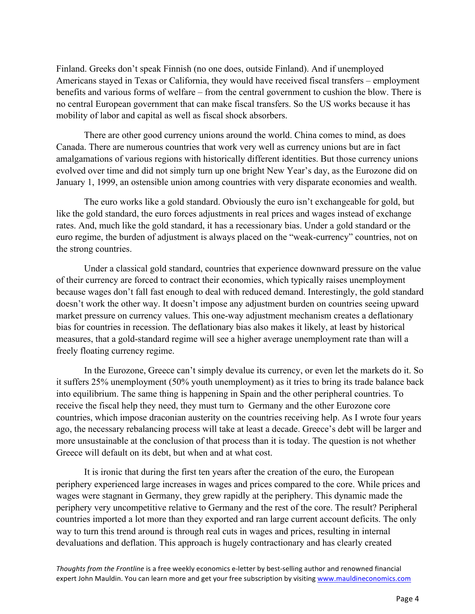Finland. Greeks don't speak Finnish (no one does, outside Finland). And if unemployed Americans stayed in Texas or California, they would have received fiscal transfers – employment benefits and various forms of welfare – from the central government to cushion the blow. There is no central European government that can make fiscal transfers. So the US works because it has mobility of labor and capital as well as fiscal shock absorbers.

There are other good currency unions around the world. China comes to mind, as does Canada. There are numerous countries that work very well as currency unions but are in fact amalgamations of various regions with historically different identities. But those currency unions evolved over time and did not simply turn up one bright New Year's day, as the Eurozone did on January 1, 1999, an ostensible union among countries with very disparate economies and wealth.

The euro works like a gold standard. Obviously the euro isn't exchangeable for gold, but like the gold standard, the euro forces adjustments in real prices and wages instead of exchange rates. And, much like the gold standard, it has a recessionary bias. Under a gold standard or the euro regime, the burden of adjustment is always placed on the "weak-currency" countries, not on the strong countries.

Under a classical gold standard, countries that experience downward pressure on the value of their currency are forced to contract their economies, which typically raises unemployment because wages don't fall fast enough to deal with reduced demand. Interestingly, the gold standard doesn't work the other way. It doesn't impose any adjustment burden on countries seeing upward market pressure on currency values. This one-way adjustment mechanism creates a deflationary bias for countries in recession. The deflationary bias also makes it likely, at least by historical measures, that a gold-standard regime will see a higher average unemployment rate than will a freely floating currency regime.

In the Eurozone, Greece can't simply devalue its currency, or even let the markets do it. So it suffers 25% unemployment (50% youth unemployment) as it tries to bring its trade balance back into equilibrium. The same thing is happening in Spain and the other peripheral countries. To receive the fiscal help they need, they must turn to Germany and the other Eurozone core countries, which impose draconian austerity on the countries receiving help. As I wrote four years ago, the necessary rebalancing process will take at least a decade. Greece's debt will be larger and more unsustainable at the conclusion of that process than it is today. The question is not whether Greece will default on its debt, but when and at what cost.

It is ironic that during the first ten years after the creation of the euro, the European periphery experienced large increases in wages and prices compared to the core. While prices and wages were stagnant in Germany, they grew rapidly at the periphery. This dynamic made the periphery very uncompetitive relative to Germany and the rest of the core. The result? Peripheral countries imported a lot more than they exported and ran large current account deficits. The only way to turn this trend around is through real cuts in wages and prices, resulting in internal devaluations and deflation. This approach is hugely contractionary and has clearly created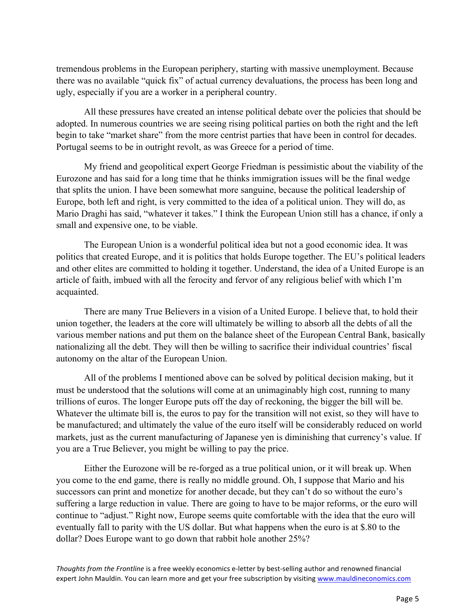tremendous problems in the European periphery, starting with massive unemployment. Because there was no available "quick fix" of actual currency devaluations, the process has been long and ugly, especially if you are a worker in a peripheral country.

All these pressures have created an intense political debate over the policies that should be adopted. In numerous countries we are seeing rising political parties on both the right and the left begin to take "market share" from the more centrist parties that have been in control for decades. Portugal seems to be in outright revolt, as was Greece for a period of time.

My friend and geopolitical expert George Friedman is pessimistic about the viability of the Eurozone and has said for a long time that he thinks immigration issues will be the final wedge that splits the union. I have been somewhat more sanguine, because the political leadership of Europe, both left and right, is very committed to the idea of a political union. They will do, as Mario Draghi has said, "whatever it takes." I think the European Union still has a chance, if only a small and expensive one, to be viable.

The European Union is a wonderful political idea but not a good economic idea. It was politics that created Europe, and it is politics that holds Europe together. The EU's political leaders and other elites are committed to holding it together. Understand, the idea of a United Europe is an article of faith, imbued with all the ferocity and fervor of any religious belief with which I'm acquainted.

There are many True Believers in a vision of a United Europe. I believe that, to hold their union together, the leaders at the core will ultimately be willing to absorb all the debts of all the various member nations and put them on the balance sheet of the European Central Bank, basically nationalizing all the debt. They will then be willing to sacrifice their individual countries' fiscal autonomy on the altar of the European Union.

All of the problems I mentioned above can be solved by political decision making, but it must be understood that the solutions will come at an unimaginably high cost, running to many trillions of euros. The longer Europe puts off the day of reckoning, the bigger the bill will be. Whatever the ultimate bill is, the euros to pay for the transition will not exist, so they will have to be manufactured; and ultimately the value of the euro itself will be considerably reduced on world markets, just as the current manufacturing of Japanese yen is diminishing that currency's value. If you are a True Believer, you might be willing to pay the price.

Either the Eurozone will be re-forged as a true political union, or it will break up. When you come to the end game, there is really no middle ground. Oh, I suppose that Mario and his successors can print and monetize for another decade, but they can't do so without the euro's suffering a large reduction in value. There are going to have to be major reforms, or the euro will continue to "adjust." Right now, Europe seems quite comfortable with the idea that the euro will eventually fall to parity with the US dollar. But what happens when the euro is at \$.80 to the dollar? Does Europe want to go down that rabbit hole another 25%?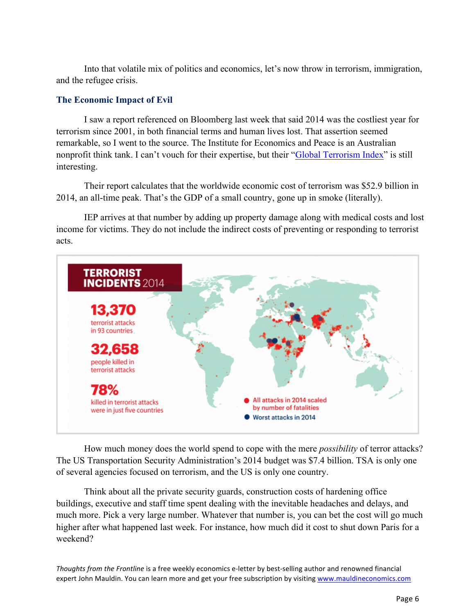Into that volatile mix of politics and economics, let's now throw in terrorism, immigration, and the refugee crisis.

## **The Economic Impact of Evil**

I saw a report referenced on Bloomberg last week that said 2014 was the costliest year for terrorism since 2001, in both financial terms and human lives lost. That assertion seemed remarkable, so I went to the source. The Institute for Economics and Peace is an Australian nonprofit think tank. I can't vouch for their expertise, but their ["Global Terrorism Index"](http://www.visionofhumanity.org/#/page/our-gti-findings) is still interesting.

Their report calculates that the worldwide economic cost of terrorism was \$52.9 billion in 2014, an all-time peak. That's the GDP of a small country, gone up in smoke (literally).

IEP arrives at that number by adding up property damage along with medical costs and lost income for victims. They do not include the indirect costs of preventing or responding to terrorist acts.



How much money does the world spend to cope with the mere *possibility* of terror attacks? The US Transportation Security Administration's 2014 budget was \$7.4 billion. TSA is only one of several agencies focused on terrorism, and the US is only one country.

Think about all the private security guards, construction costs of hardening office buildings, executive and staff time spent dealing with the inevitable headaches and delays, and much more. Pick a very large number. Whatever that number is, you can bet the cost will go much higher after what happened last week. For instance, how much did it cost to shut down Paris for a weekend?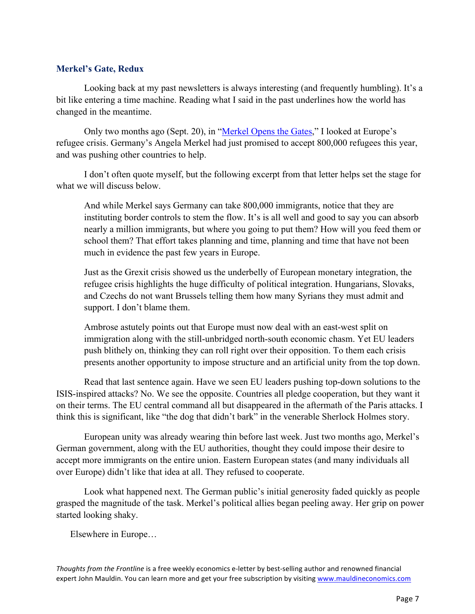### **Merkel's Gate, Redux**

Looking back at my past newsletters is always interesting (and frequently humbling). It's a bit like entering a time machine. Reading what I said in the past underlines how the world has changed in the meantime.

Only two months ago (Sept. 20), in ["Merkel Opens the Gates,"](http://www.mauldineconomics.com/frontlinethoughts/merkel-opens-the-gates) I looked at Europe's refugee crisis. Germany's Angela Merkel had just promised to accept 800,000 refugees this year, and was pushing other countries to help.

I don't often quote myself, but the following excerpt from that letter helps set the stage for what we will discuss below.

And while Merkel says Germany can take 800,000 immigrants, notice that they are instituting border controls to stem the flow. It's is all well and good to say you can absorb nearly a million immigrants, but where you going to put them? How will you feed them or school them? That effort takes planning and time, planning and time that have not been much in evidence the past few years in Europe.

Just as the Grexit crisis showed us the underbelly of European monetary integration, the refugee crisis highlights the huge difficulty of political integration. Hungarians, Slovaks, and Czechs do not want Brussels telling them how many Syrians they must admit and support. I don't blame them.

Ambrose astutely points out that Europe must now deal with an east-west split on immigration along with the still-unbridged north-south economic chasm. Yet EU leaders push blithely on, thinking they can roll right over their opposition. To them each crisis presents another opportunity to impose structure and an artificial unity from the top down.

Read that last sentence again. Have we seen EU leaders pushing top-down solutions to the ISIS-inspired attacks? No. We see the opposite. Countries all pledge cooperation, but they want it on their terms. The EU central command all but disappeared in the aftermath of the Paris attacks. I think this is significant, like "the dog that didn't bark" in the venerable Sherlock Holmes story.

European unity was already wearing thin before last week. Just two months ago, Merkel's German government, along with the EU authorities, thought they could impose their desire to accept more immigrants on the entire union. Eastern European states (and many individuals all over Europe) didn't like that idea at all. They refused to cooperate.

Look what happened next. The German public's initial generosity faded quickly as people grasped the magnitude of the task. Merkel's political allies began peeling away. Her grip on power started looking shaky.

Elsewhere in Europe…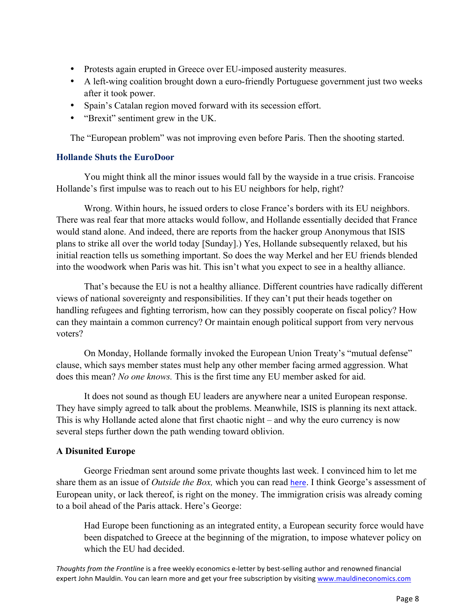- Protests again erupted in Greece over EU-imposed austerity measures.
- A left-wing coalition brought down a euro-friendly Portuguese government just two weeks after it took power.
- Spain's Catalan region moved forward with its secession effort.
- "Brexit" sentiment grew in the UK.

The "European problem" was not improving even before Paris. Then the shooting started.

## **Hollande Shuts the EuroDoor**

You might think all the minor issues would fall by the wayside in a true crisis. Francoise Hollande's first impulse was to reach out to his EU neighbors for help, right?

Wrong. Within hours, he issued orders to close France's borders with its EU neighbors. There was real fear that more attacks would follow, and Hollande essentially decided that France would stand alone. And indeed, there are reports from the hacker group Anonymous that ISIS plans to strike all over the world today [Sunday].) Yes, Hollande subsequently relaxed, but his initial reaction tells us something important. So does the way Merkel and her EU friends blended into the woodwork when Paris was hit. This isn't what you expect to see in a healthy alliance.

That's because the EU is not a healthy alliance. Different countries have radically different views of national sovereignty and responsibilities. If they can't put their heads together on handling refugees and fighting terrorism, how can they possibly cooperate on fiscal policy? How can they maintain a common currency? Or maintain enough political support from very nervous voters?

On Monday, Hollande formally invoked the European Union Treaty's "mutual defense" clause, which says member states must help any other member facing armed aggression. What does this mean? *No one knows.* This is the first time any EU member asked for aid.

It does not sound as though EU leaders are anywhere near a united European response. They have simply agreed to talk about the problems. Meanwhile, ISIS is planning its next attack. This is why Hollande acted alone that first chaotic night – and why the euro currency is now several steps further down the path wending toward oblivion.

## **A Disunited Europe**

George Friedman sent around some private thoughts last week. I convinced him to let me share them as an issue of *Outside the Box,* which you can read [here](http://www.mauldineconomics.com/outsidethebox/paris-sharm-el-sheikh-and-the-resurrection-of-old-europe). I think George's assessment of European unity, or lack thereof, is right on the money. The immigration crisis was already coming to a boil ahead of the Paris attack. Here's George:

Had Europe been functioning as an integrated entity, a European security force would have been dispatched to Greece at the beginning of the migration, to impose whatever policy on which the EU had decided.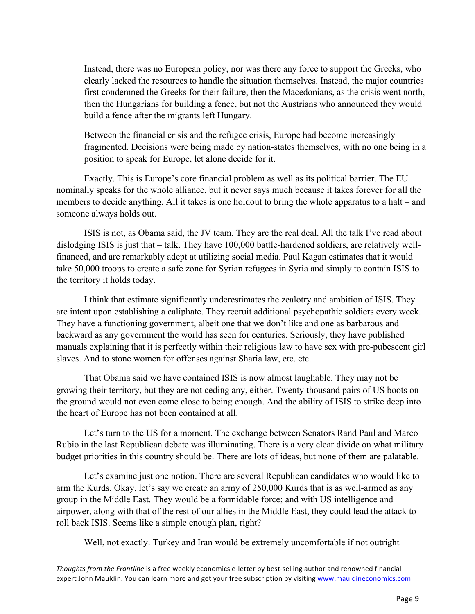Instead, there was no European policy, nor was there any force to support the Greeks, who clearly lacked the resources to handle the situation themselves. Instead, the major countries first condemned the Greeks for their failure, then the Macedonians, as the crisis went north, then the Hungarians for building a fence, but not the Austrians who announced they would build a fence after the migrants left Hungary.

Between the financial crisis and the refugee crisis, Europe had become increasingly fragmented. Decisions were being made by nation-states themselves, with no one being in a position to speak for Europe, let alone decide for it.

Exactly. This is Europe's core financial problem as well as its political barrier. The EU nominally speaks for the whole alliance, but it never says much because it takes forever for all the members to decide anything. All it takes is one holdout to bring the whole apparatus to a halt – and someone always holds out.

ISIS is not, as Obama said, the JV team. They are the real deal. All the talk I've read about dislodging ISIS is just that – talk. They have 100,000 battle-hardened soldiers, are relatively wellfinanced, and are remarkably adept at utilizing social media. Paul Kagan estimates that it would take 50,000 troops to create a safe zone for Syrian refugees in Syria and simply to contain ISIS to the territory it holds today.

I think that estimate significantly underestimates the zealotry and ambition of ISIS. They are intent upon establishing a caliphate. They recruit additional psychopathic soldiers every week. They have a functioning government, albeit one that we don't like and one as barbarous and backward as any government the world has seen for centuries. Seriously, they have published manuals explaining that it is perfectly within their religious law to have sex with pre-pubescent girl slaves. And to stone women for offenses against Sharia law, etc. etc.

That Obama said we have contained ISIS is now almost laughable. They may not be growing their territory, but they are not ceding any, either. Twenty thousand pairs of US boots on the ground would not even come close to being enough. And the ability of ISIS to strike deep into the heart of Europe has not been contained at all.

Let's turn to the US for a moment. The exchange between Senators Rand Paul and Marco Rubio in the last Republican debate was illuminating. There is a very clear divide on what military budget priorities in this country should be. There are lots of ideas, but none of them are palatable.

Let's examine just one notion. There are several Republican candidates who would like to arm the Kurds. Okay, let's say we create an army of 250,000 Kurds that is as well-armed as any group in the Middle East. They would be a formidable force; and with US intelligence and airpower, along with that of the rest of our allies in the Middle East, they could lead the attack to roll back ISIS. Seems like a simple enough plan, right?

Well, not exactly. Turkey and Iran would be extremely uncomfortable if not outright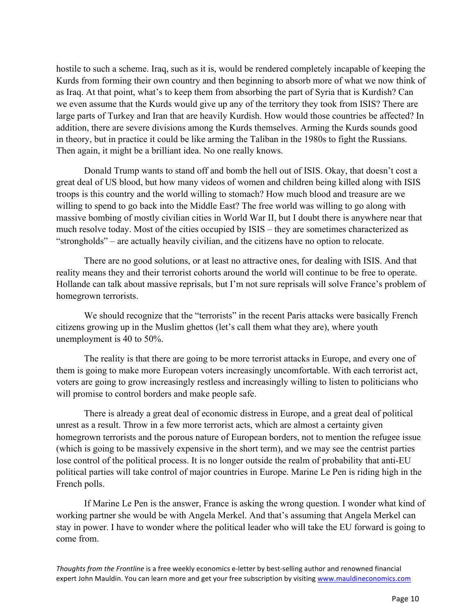hostile to such a scheme. Iraq, such as it is, would be rendered completely incapable of keeping the Kurds from forming their own country and then beginning to absorb more of what we now think of as Iraq. At that point, what's to keep them from absorbing the part of Syria that is Kurdish? Can we even assume that the Kurds would give up any of the territory they took from ISIS? There are large parts of Turkey and Iran that are heavily Kurdish. How would those countries be affected? In addition, there are severe divisions among the Kurds themselves. Arming the Kurds sounds good in theory, but in practice it could be like arming the Taliban in the 1980s to fight the Russians. Then again, it might be a brilliant idea. No one really knows.

Donald Trump wants to stand off and bomb the hell out of ISIS. Okay, that doesn't cost a great deal of US blood, but how many videos of women and children being killed along with ISIS troops is this country and the world willing to stomach? How much blood and treasure are we willing to spend to go back into the Middle East? The free world was willing to go along with massive bombing of mostly civilian cities in World War II, but I doubt there is anywhere near that much resolve today. Most of the cities occupied by ISIS – they are sometimes characterized as "strongholds" – are actually heavily civilian, and the citizens have no option to relocate.

There are no good solutions, or at least no attractive ones, for dealing with ISIS. And that reality means they and their terrorist cohorts around the world will continue to be free to operate. Hollande can talk about massive reprisals, but I'm not sure reprisals will solve France's problem of homegrown terrorists.

We should recognize that the "terrorists" in the recent Paris attacks were basically French citizens growing up in the Muslim ghettos (let's call them what they are), where youth unemployment is 40 to 50%.

The reality is that there are going to be more terrorist attacks in Europe, and every one of them is going to make more European voters increasingly uncomfortable. With each terrorist act, voters are going to grow increasingly restless and increasingly willing to listen to politicians who will promise to control borders and make people safe.

There is already a great deal of economic distress in Europe, and a great deal of political unrest as a result. Throw in a few more terrorist acts, which are almost a certainty given homegrown terrorists and the porous nature of European borders, not to mention the refugee issue (which is going to be massively expensive in the short term), and we may see the centrist parties lose control of the political process. It is no longer outside the realm of probability that anti-EU political parties will take control of major countries in Europe. Marine Le Pen is riding high in the French polls.

If Marine Le Pen is the answer, France is asking the wrong question. I wonder what kind of working partner she would be with Angela Merkel. And that's assuming that Angela Merkel can stay in power. I have to wonder where the political leader who will take the EU forward is going to come from.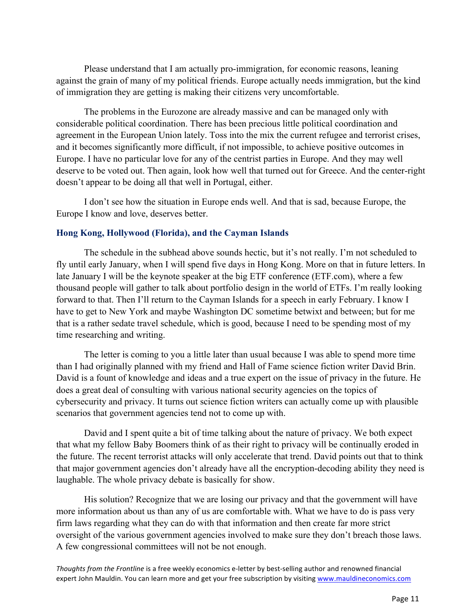Please understand that I am actually pro-immigration, for economic reasons, leaning against the grain of many of my political friends. Europe actually needs immigration, but the kind of immigration they are getting is making their citizens very uncomfortable.

The problems in the Eurozone are already massive and can be managed only with considerable political coordination. There has been precious little political coordination and agreement in the European Union lately. Toss into the mix the current refugee and terrorist crises, and it becomes significantly more difficult, if not impossible, to achieve positive outcomes in Europe. I have no particular love for any of the centrist parties in Europe. And they may well deserve to be voted out. Then again, look how well that turned out for Greece. And the center-right doesn't appear to be doing all that well in Portugal, either.

I don't see how the situation in Europe ends well. And that is sad, because Europe, the Europe I know and love, deserves better.

## **Hong Kong, Hollywood (Florida), and the Cayman Islands**

The schedule in the subhead above sounds hectic, but it's not really. I'm not scheduled to fly until early January, when I will spend five days in Hong Kong. More on that in future letters. In late January I will be the keynote speaker at the big ETF conference (ETF.com), where a few thousand people will gather to talk about portfolio design in the world of ETFs. I'm really looking forward to that. Then I'll return to the Cayman Islands for a speech in early February. I know I have to get to New York and maybe Washington DC sometime betwixt and between; but for me that is a rather sedate travel schedule, which is good, because I need to be spending most of my time researching and writing.

The letter is coming to you a little later than usual because I was able to spend more time than I had originally planned with my friend and Hall of Fame science fiction writer David Brin. David is a fount of knowledge and ideas and a true expert on the issue of privacy in the future. He does a great deal of consulting with various national security agencies on the topics of cybersecurity and privacy. It turns out science fiction writers can actually come up with plausible scenarios that government agencies tend not to come up with.

David and I spent quite a bit of time talking about the nature of privacy. We both expect that what my fellow Baby Boomers think of as their right to privacy will be continually eroded in the future. The recent terrorist attacks will only accelerate that trend. David points out that to think that major government agencies don't already have all the encryption-decoding ability they need is laughable. The whole privacy debate is basically for show.

His solution? Recognize that we are losing our privacy and that the government will have more information about us than any of us are comfortable with. What we have to do is pass very firm laws regarding what they can do with that information and then create far more strict oversight of the various government agencies involved to make sure they don't breach those laws. A few congressional committees will not be not enough.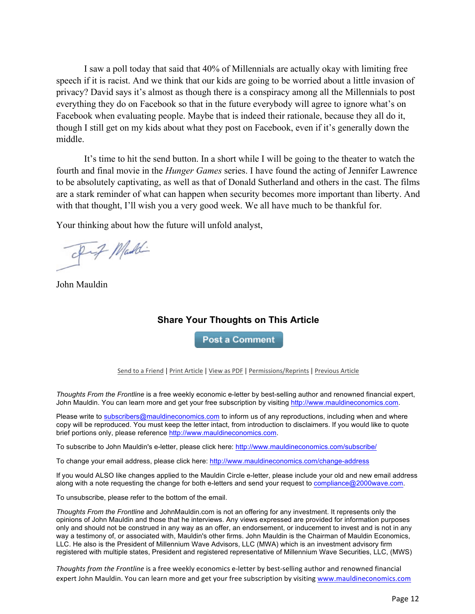I saw a poll today that said that 40% of Millennials are actually okay with limiting free speech if it is racist. And we think that our kids are going to be worried about a little invasion of privacy? David says it's almost as though there is a conspiracy among all the Millennials to post everything they do on Facebook so that in the future everybody will agree to ignore what's on Facebook when evaluating people. Maybe that is indeed their rationale, because they all do it, though I still get on my kids about what they post on Facebook, even if it's generally down the middle.

It's time to hit the send button. In a short while I will be going to the theater to watch the fourth and final movie in the *Hunger Games* series. I have found the acting of Jennifer Lawrence to be absolutely captivating, as well as that of Donald Sutherland and others in the cast. The films are a stark reminder of what can happen when security becomes more important than liberty. And with that thought, I'll wish you a very good week. We all have much to be thankful for.

Your thinking about how the future will unfold analyst,

I Maddi

John Mauldin

## **Share Your Thoughts on This Article**

**Post a Comment** 

Send to a Friend | Print Article | View as PDF | Permissions/Reprints | Previous Article

*Thoughts From the Frontline* is a free weekly economic e-letter by best-selling author and renowned financial expert, John Mauldin. You can learn more and get your free subscription by visiting http://www.mauldineconomics.com.

Please write to **subscribers@mauldineconomics.com** to inform us of any reproductions, including when and where copy will be reproduced. You must keep the letter intact, from introduction to disclaimers. If you would like to quote brief portions only, please reference http://www.mauldineconomics.com.

To subscribe to John Mauldin's e-letter, please click here: http://www.mauldineconomics.com/subscribe/

To change your email address, please click here: http://www.mauldineconomics.com/change-address

If you would ALSO like changes applied to the Mauldin Circle e-letter, please include your old and new email address along with a note requesting the change for both e-letters and send your request to compliance@2000wave.com.

To unsubscribe, please refer to the bottom of the email.

*Thoughts From the Frontline* and JohnMauldin.com is not an offering for any investment. It represents only the opinions of John Mauldin and those that he interviews. Any views expressed are provided for information purposes only and should not be construed in any way as an offer, an endorsement, or inducement to invest and is not in any way a testimony of, or associated with, Mauldin's other firms. John Mauldin is the Chairman of Mauldin Economics, LLC. He also is the President of Millennium Wave Advisors, LLC (MWA) which is an investment advisory firm registered with multiple states, President and registered representative of Millennium Wave Securities, LLC, (MWS)